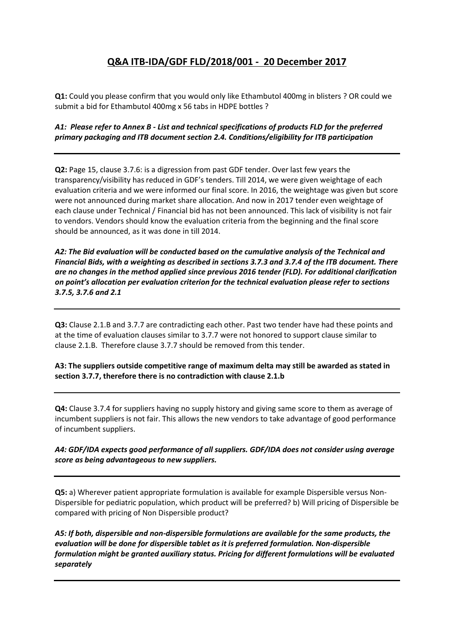## **Q&A ITB-IDA/GDF FLD/2018/001 - 20 December 2017**

**Q1:** Could you please confirm that you would only like Ethambutol 400mg in blisters ? OR could we submit a bid for Ethambutol 400mg x 56 tabs in HDPE bottles ?

## *A1: Please refer to Annex B - List and technical specifications of products FLD for the preferred primary packaging and ITB document section 2.4. Conditions/eligibility for ITB participation*

**Q2:** Page 15, clause 3.7.6: is a digression from past GDF tender. Over last few years the transparency/visibility has reduced in GDF's tenders. Till 2014, we were given weightage of each evaluation criteria and we were informed our final score. In 2016, the weightage was given but score were not announced during market share allocation. And now in 2017 tender even weightage of each clause under Technical / Financial bid has not been announced. This lack of visibility is not fair to vendors. Vendors should know the evaluation criteria from the beginning and the final score should be announced, as it was done in till 2014.

*A2: The Bid evaluation will be conducted based on the cumulative analysis of the Technical and Financial Bids, with a weighting as described in sections 3.7.3 and 3.7.4 of the ITB document. There are no changes in the method applied since previous 2016 tender (FLD). For additional clarification on point's allocation per evaluation criterion for the technical evaluation please refer to sections 3.7.5, 3.7.6 and 2.1*

**Q3:** Clause 2.1.B and 3.7.7 are contradicting each other. Past two tender have had these points and at the time of evaluation clauses similar to 3.7.7 were not honored to support clause similar to clause 2.1.B. Therefore clause 3.7.7 should be removed from this tender.

**A3: The suppliers outside competitive range of maximum delta may still be awarded as stated in section 3.7.7, therefore there is no contradiction with clause 2.1.b**

**Q4:** Clause 3.7.4 for suppliers having no supply history and giving same score to them as average of incumbent suppliers is not fair. This allows the new vendors to take advantage of good performance of incumbent suppliers.

## *A4: GDF/IDA expects good performance of all suppliers. GDF/IDA does not consider using average score as being advantageous to new suppliers.*

**Q5:** a) Wherever patient appropriate formulation is available for example Dispersible versus Non-Dispersible for pediatric population, which product will be preferred? b) Will pricing of Dispersible be compared with pricing of Non Dispersible product?

*A5: If both, dispersible and non-dispersible formulations are available for the same products, the evaluation will be done for dispersible tablet as it is preferred formulation. Non-dispersible formulation might be granted auxiliary status. Pricing for different formulations will be evaluated separately*